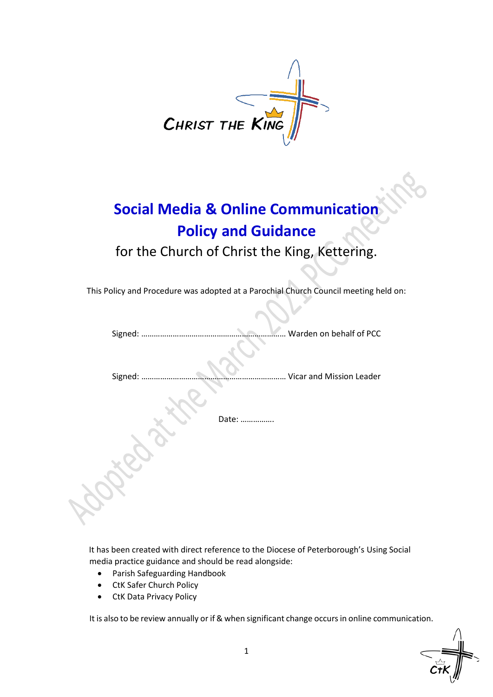

# **Social Media & Online Communication Policy and Guidance**

for the Church of Christ the King, Kettering.

This Policy and Procedure was adopted at a Parochial Church Council meeting held on:

Signed: …………………………………………………………… Warden on behalf of PCC

Signed: …………………………………………………………… Vicar and Mission Leader

Date: …………….

It has been created with direct reference to the Diocese of Peterborough's Using Social media practice guidance and should be read alongside:

- Parish Safeguarding Handbook
- CtK Safer Church Policy
- CtK Data Privacy Policy

It is also to be review annually or if & when significant change occurs in online communication.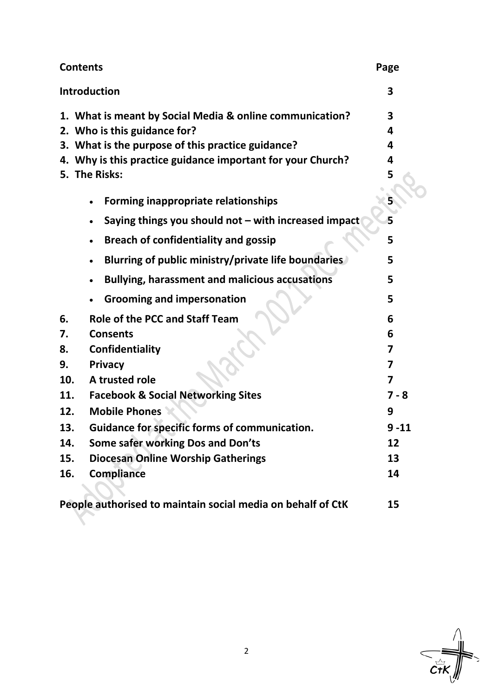| <b>Contents</b>                                             | Page    |
|-------------------------------------------------------------|---------|
| Introduction                                                | 3       |
| 1. What is meant by Social Media & online communication?    | 3       |
| 2. Who is this guidance for?                                | 4       |
| 3. What is the purpose of this practice guidance?           | 4       |
| 4. Why is this practice guidance important for your Church? | 4       |
| 5. The Risks:                                               | 5       |
| Forming inappropriate relationships                         |         |
| Saying things you should not - with increased impact        | 5       |
| <b>Breach of confidentiality and gossip</b>                 | 5       |
| Blurring of public ministry/private life boundaries         | 5       |
| <b>Bullying, harassment and malicious accusations</b>       | 5       |
| <b>Grooming and impersonation</b>                           | 5       |
| <b>Role of the PCC and Staff Team</b><br>6.                 | 6       |
| <b>Consents</b><br>7.                                       | 6       |
| Confidentiality<br>8.                                       | 7       |
| <b>Privacy</b><br>9.                                        | 7       |
| A trusted role<br>10.                                       | 7       |
| <b>Facebook &amp; Social Networking Sites</b><br>11.        | $7 - 8$ |
| <b>Mobile Phones</b><br>12.                                 | 9       |
| <b>Guidance for specific forms of communication.</b><br>13. | 9 -11   |
| Some safer working Dos and Don'ts<br>14.                    | 12      |
| <b>Diocesan Online Worship Gatherings</b><br>15.            | 13      |
| <b>Compliance</b><br>16.                                    | 14      |
|                                                             |         |
| People authorised to maintain social media on behalf of CtK | 15      |

 $\frac{1}{\frac{1}{\frac{1}{\sqrt{1}}\sum_{i=1}^{N}x_i}}$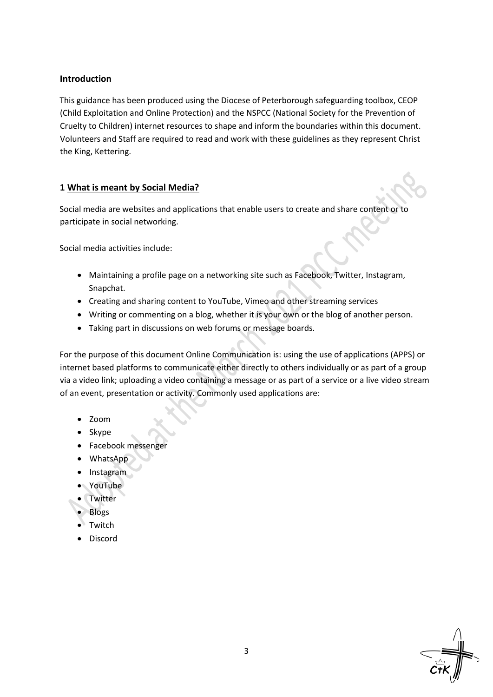## **Introduction**

This guidance has been produced using the Diocese of Peterborough safeguarding toolbox, CEOP (Child Exploitation and Online Protection) and the NSPCC (National Society for the Prevention of Cruelty to Children) internet resources to shape and inform the boundaries within this document. Volunteers and Staff are required to read and work with these guidelines as they represent Christ the King, Kettering.

## **1 What is meant by Social Media?**

Social media are websites and applications that enable users to create and share content or to participate in social networking.

Social media activities include:

- Maintaining a profile page on a networking site such as Facebook, Twitter, Instagram, Snapchat.
- Creating and sharing content to YouTube, Vimeo and other streaming services
- Writing or commenting on a blog, whether it is your own or the blog of another person.
- Taking part in discussions on web forums or message boards.

For the purpose of this document Online Communication is: using the use of applications (APPS) or internet based platforms to communicate either directly to others individually or as part of a group via a video link; uploading a video containing a message or as part of a service or a live video stream of an event, presentation or activity. Commonly used applications are:

- Zoom
- Skype
- Facebook messenger
- WhatsApp
- Instagram
- YouTube
- Twitter
- Blogs
- **Twitch**
- **Discord**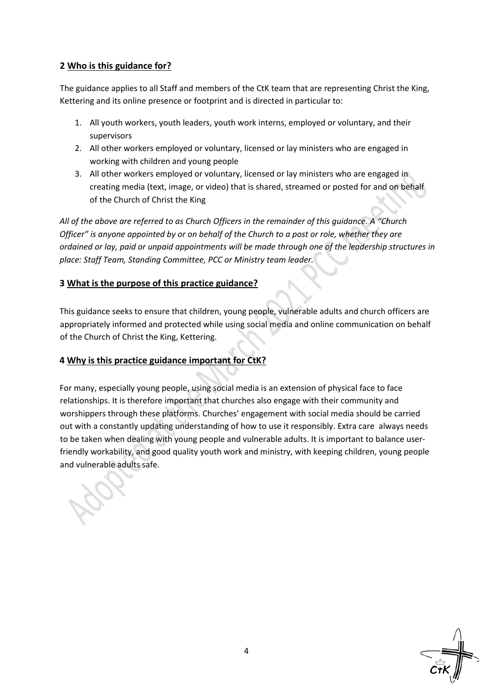## **2 Who is this guidance for?**

The guidance applies to all Staff and members of the CtK team that are representing Christ the King, Kettering and its online presence or footprint and is directed in particular to:

- 1. All youth workers, youth leaders, youth work interns, employed or voluntary, and their supervisors
- 2. All other workers employed or voluntary, licensed or lay ministers who are engaged in working with children and young people
- 3. All other workers employed or voluntary, licensed or lay ministers who are engaged in creating media (text, image, or video) that is shared, streamed or posted for and on behalf of the Church of Christ the King

*All of the above are referred to as Church Officers in the remainder of this guidance. A "Church Officer" is anyone appointed by or on behalf of the Church to a post or role, whether they are ordained or lay, paid or unpaid appointments will be made through one of the leadership structures in place: Staff Team, Standing Committee, PCC or Ministry team leader.* 

## **3 What is the purpose of this practice guidance?**

This guidance seeks to ensure that children, young people, vulnerable adults and church officers are appropriately informed and protected while using social media and online communication on behalf of the Church of Christ the King, Kettering.

# **4 Why is this practice guidance important for CtK?**

For many, especially young people, using social media is an extension of physical face to face relationships. It is therefore important that churches also engage with their community and worshippers through these platforms. Churches' engagement with social media should be carried out with a constantly updating understanding of how to use it responsibly. Extra care always needs to be taken when dealing with young people and vulnerable adults. It is important to balance userfriendly workability, and good quality youth work and ministry, with keeping children, young people and vulnerable adults safe.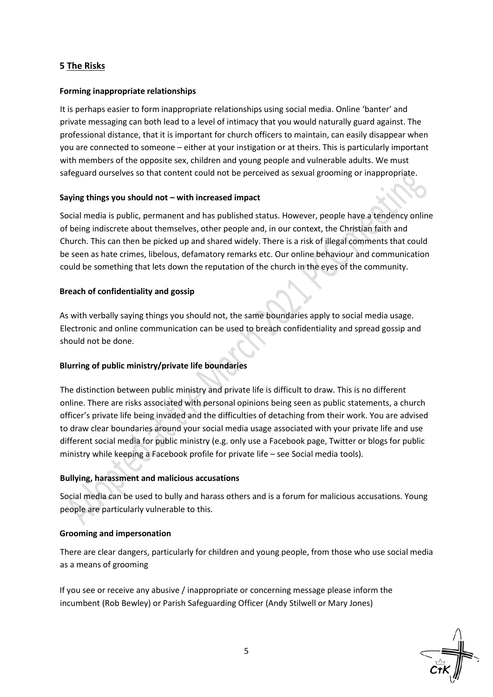## **5 The Risks**

#### **Forming inappropriate relationships**

It is perhaps easier to form inappropriate relationships using social media. Online 'banter' and private messaging can both lead to a level of intimacy that you would naturally guard against. The professional distance, that it is important for church officers to maintain, can easily disappear when you are connected to someone – either at your instigation or at theirs. This is particularly important with members of the opposite sex, children and young people and vulnerable adults. We must safeguard ourselves so that content could not be perceived as sexual grooming or inappropriate.

#### **Saying things you should not – with increased impact**

Social media is public, permanent and has published status. However, people have a tendency online of being indiscrete about themselves, other people and, in our context, the Christian faith and Church. This can then be picked up and shared widely. There is a risk of illegal comments that could be seen as hate crimes, libelous, defamatory remarks etc. Our online behaviour and communication could be something that lets down the reputation of the church in the eyes of the community.

#### **Breach of confidentiality and gossip**

As with verbally saying things you should not, the same boundaries apply to social media usage. Electronic and online communication can be used to breach confidentiality and spread gossip and should not be done.

## **Blurring of public ministry/private life boundaries**

The distinction between public ministry and private life is difficult to draw. This is no different online. There are risks associated with personal opinions being seen as public statements, a church officer's private life being invaded and the difficulties of detaching from their work. You are advised to draw clear boundaries around your social media usage associated with your private life and use different social media for public ministry (e.g. only use a Facebook page, Twitter or blogs for public ministry while keeping a Facebook profile for private life – see Social media tools).

## **Bullying, harassment and malicious accusations**

Social media can be used to bully and harass others and is a forum for malicious accusations. Young people are particularly vulnerable to this.

#### **Grooming and impersonation**

There are clear dangers, particularly for children and young people, from those who use social media as a means of grooming

If you see or receive any abusive / inappropriate or concerning message please inform the incumbent (Rob Bewley) or Parish Safeguarding Officer (Andy Stilwell or Mary Jones)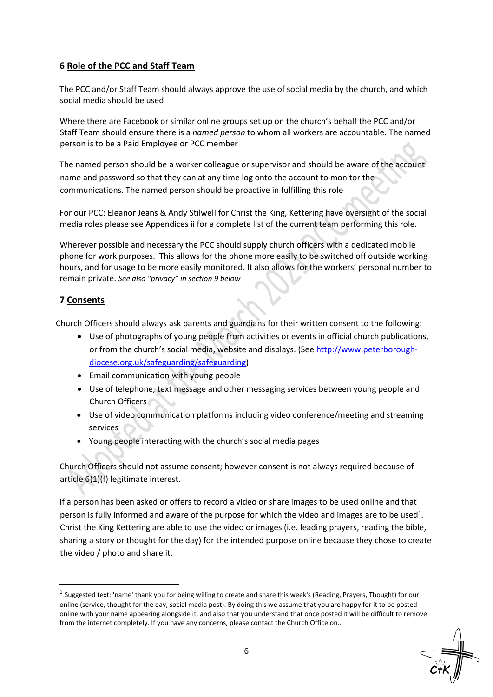## **6 Role of the PCC and Staff Team**

The PCC and/or Staff Team should always approve the use of social media by the church, and which social media should be used

Where there are Facebook or similar online groups set up on the church's behalf the PCC and/or Staff Team should ensure there is a *named person* to whom all workers are accountable. The named person is to be a Paid Employee or PCC member

The named person should be a worker colleague or supervisor and should be aware of the account name and password so that they can at any time log onto the account to monitor the communications. The named person should be proactive in fulfilling this role

For our PCC: Eleanor Jeans & Andy Stilwell for Christ the King, Kettering have oversight of the social media roles please see Appendices ii for a complete list of the current team performing this role.

Wherever possible and necessary the PCC should supply church officers with a dedicated mobile phone for work purposes. This allows for the phone more easily to be switched off outside working hours, and for usage to be more easily monitored. It also allows for the workers' personal number to remain private. *See also "privacy" in section 9 below*

## **7 Consents**

Church Officers should always ask parents and guardians for their written consent to the following:

- Use of photographs of young people from activities or events in official church publications, or from the church's social media, website and displays. (See [http://www.peterborough](http://www.peterborough-diocese.org.uk/safeguarding/safeguarding)[diocese.org.uk/safeguarding/safeguarding\)](http://www.peterborough-diocese.org.uk/safeguarding/safeguarding)
- Email communication with young people
- Use of telephone, text message and other messaging services between young people and Church Officers
- Use of video communication platforms including video conference/meeting and streaming services
- Young people interacting with the church's social media pages

Church Officers should not assume consent; however consent is not always required because of article 6(1)(f) legitimate interest.

If a person has been asked or offers to record a video or share images to be used online and that person is fully informed and aware of the purpose for which the video and images are to be used<sup>1</sup>. Christ the King Kettering are able to use the video or images (i.e. leading prayers, reading the bible, sharing a story or thought for the day) for the intended purpose online because they chose to create the video / photo and share it.

 $^1$  Suggested text: 'name' thank you for being willing to create and share this week's (Reading, Prayers, Thought) for our online (service, thought for the day, social media post). By doing this we assume that you are happy for it to be posted online with your name appearing alongside it, and also that you understand that once posted it will be difficult to remove from the internet completely. If you have any concerns, please contact the Church Office on..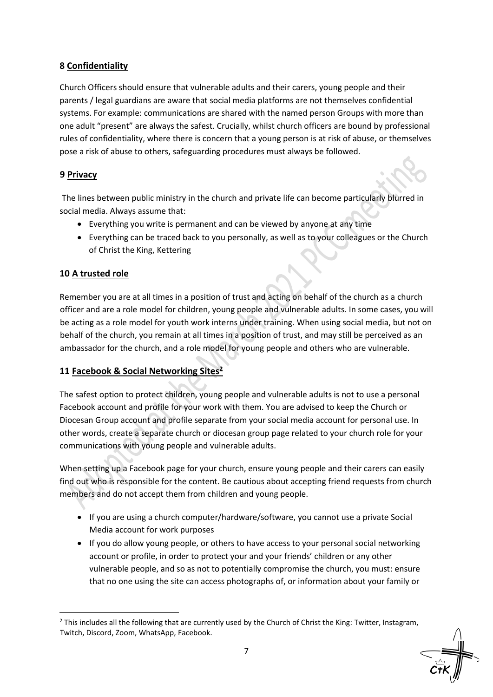# **8 Confidentiality**

Church Officers should ensure that vulnerable adults and their carers, young people and their parents / legal guardians are aware that social media platforms are not themselves confidential systems. For example: communications are shared with the named person Groups with more than one adult "present" are always the safest. Crucially, whilst church officers are bound by professional rules of confidentiality, where there is concern that a young person is at risk of abuse, or themselves pose a risk of abuse to others, safeguarding procedures must always be followed.

# **9 Privacy**

The lines between public ministry in the church and private life can become particularly blurred in social media. Always assume that:

- Everything you write is permanent and can be viewed by anyone at any time
- Everything can be traced back to you personally, as well as to your colleagues or the Church of Christ the King, Kettering

# **10 A trusted role**

Remember you are at all times in a position of trust and acting on behalf of the church as a church officer and are a role model for children, young people and vulnerable adults. In some cases, you will be acting as a role model for youth work interns under training. When using social media, but not on behalf of the church, you remain at all times in a position of trust, and may still be perceived as an ambassador for the church, and a role model for young people and others who are vulnerable.

# **11 Facebook & Social Networking Sites 2**

The safest option to protect children, young people and vulnerable adults is not to use a personal Facebook account and profile for your work with them. You are advised to keep the Church or Diocesan Group account and profile separate from your social media account for personal use. In other words, create a separate church or diocesan group page related to your church role for your communications with young people and vulnerable adults.

When setting up a Facebook page for your church, ensure young people and their carers can easily find out who is responsible for the content. Be cautious about accepting friend requests from church members and do not accept them from children and young people.

- If you are using a church computer/hardware/software, you cannot use a private Social Media account for work purposes
- If you do allow young people, or others to have access to your personal social networking account or profile, in order to protect your and your friends' children or any other vulnerable people, and so as not to potentially compromise the church, you must: ensure that no one using the site can access photographs of, or information about your family or

 $2$  This includes all the following that are currently used by the Church of Christ the King: Twitter, Instagram, Twitch, Discord, Zoom, WhatsApp, Facebook.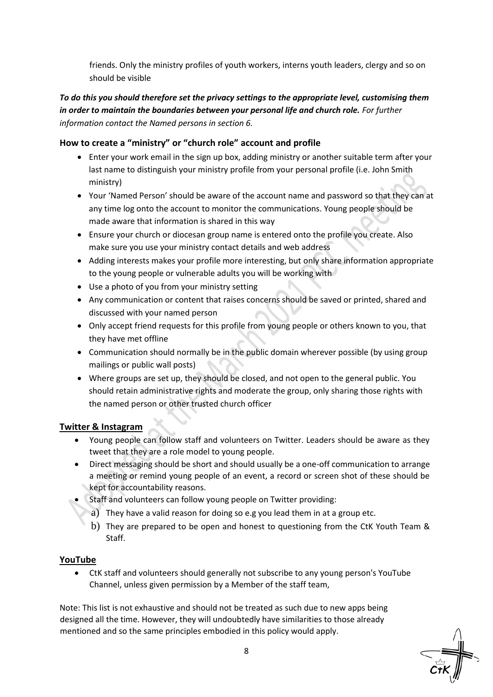friends. Only the ministry profiles of youth workers, interns youth leaders, clergy and so on should be visible

# *To do this you should therefore set the privacy settings to the appropriate level, customising them in order to maintain the boundaries between your personal life and church role. For further information contact the Named persons in section 6.*

# **How to create a "ministry" or "church role" account and profile**

- Enter your work email in the sign up box, adding ministry or another suitable term after your last name to distinguish your ministry profile from your personal profile (i.e. John Smith ministry)
- Your 'Named Person' should be aware of the account name and password so that they can at any time log onto the account to monitor the communications. Young people should be made aware that information is shared in this way
- Ensure your church or diocesan group name is entered onto the profile you create. Also make sure you use your ministry contact details and web address
- Adding interests makes your profile more interesting, but only share information appropriate to the young people or vulnerable adults you will be working with
- Use a photo of you from your ministry setting
- Any communication or content that raises concerns should be saved or printed, shared and discussed with your named person
- Only accept friend requests for this profile from young people or others known to you, that they have met offline
- Communication should normally be in the public domain wherever possible (by using group mailings or public wall posts)
- Where groups are set up, they should be closed, and not open to the general public. You should retain administrative rights and moderate the group, only sharing those rights with the named person or other trusted church officer

# **Twitter & Instagram**

- Young people can follow staff and volunteers on Twitter. Leaders should be aware as they tweet that they are a role model to young people.
- Direct messaging should be short and should usually be a one-off communication to arrange a meeting or remind young people of an event, a record or screen shot of these should be kept for accountability reasons.
- Staff and volunteers can follow young people on Twitter providing:
	- a) They have a valid reason for doing so e.g you lead them in at a group etc.
	- b) They are prepared to be open and honest to questioning from the CtK Youth Team & Staff.

# **YouTube**

• CtK staff and volunteers should generally not subscribe to any young person's YouTube Channel, unless given permission by a Member of the staff team,

Note: This list is not exhaustive and should not be treated as such due to new apps being designed all the time. However, they will undoubtedly have similarities to those already mentioned and so the same principles embodied in this policy would apply.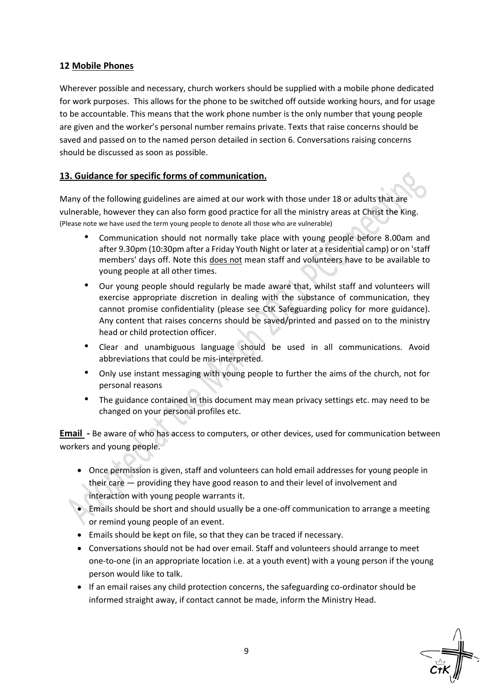# **12 Mobile Phones**

Wherever possible and necessary, church workers should be supplied with a mobile phone dedicated for work purposes. This allows for the phone to be switched off outside working hours, and for usage to be accountable. This means that the work phone number is the only number that young people are given and the worker's personal number remains private. Texts that raise concerns should be saved and passed on to the named person detailed in section 6. Conversations raising concerns should be discussed as soon as possible.

## **13. Guidance for specific forms of communication.**

Many of the following guidelines are aimed at our work with those under 18 or adults that are vulnerable, however they can also form good practice for all the ministry areas at Christ the King. (Please note we have used the term young people to denote all those who are vulnerable)

- Communication should not normally take place with young people before 8.00am and after 9.30pm (10:30pm after a Friday Youth Night or later at a residential camp) or on 'staff members' days off. Note this does not mean staff and volunteers have to be available to young people at all other times.
- Our young people should regularly be made aware that, whilst staff and volunteers will exercise appropriate discretion in dealing with the substance of communication, they cannot promise confidentiality (please see CtK Safeguarding policy for more guidance). Any content that raises concerns should be saved/printed and passed on to the ministry head or child protection officer.
- Clear and unambiguous language should be used in all communications. Avoid abbreviations that could be mis-interpreted.
- Only use instant messaging with young people to further the aims of the church, not for personal reasons
- The guidance contained in this document may mean privacy settings etc. may need to be changed on your personal profiles etc.

**Email -** Be aware of who has access to computers, or other devices, used for communication between workers and young people.

- Once permission is given, staff and volunteers can hold email addresses for young people in their care — providing they have good reason to and their level of involvement and interaction with young people warrants it.
- Emails should be short and should usually be a one-off communication to arrange a meeting or remind young people of an event.
- Emails should be kept on file, so that they can be traced if necessary.
- Conversations should not be had over email. Staff and volunteers should arrange to meet one-to-one (in an appropriate location i.e. at a youth event) with a young person if the young person would like to talk.
- If an email raises any child protection concerns, the safeguarding co-ordinator should be informed straight away, if contact cannot be made, inform the Ministry Head.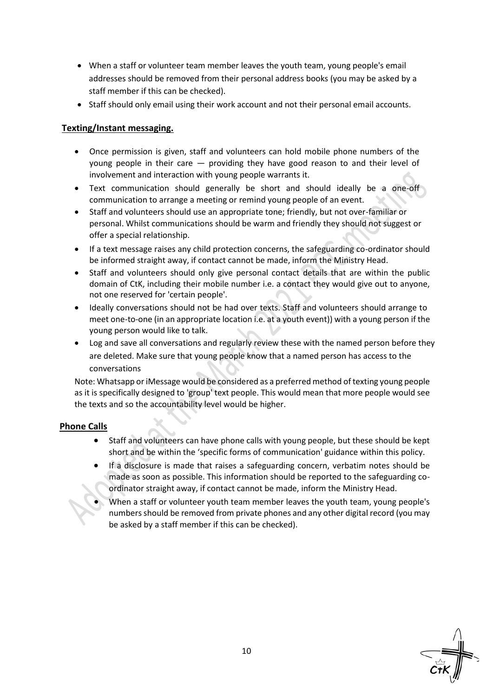- When a staff or volunteer team member leaves the youth team, young people's email addresses should be removed from their personal address books (you may be asked by a staff member if this can be checked).
- Staff should only email using their work account and not their personal email accounts.

## **Texting/Instant messaging.**

- Once permission is given, staff and volunteers can hold mobile phone numbers of the young people in their care — providing they have good reason to and their level of involvement and interaction with young people warrants it.
- Text communication should generally be short and should ideally be a one-off communication to arrange a meeting or remind young people of an event.
- Staff and volunteers should use an appropriate tone; friendly, but not over-familiar or personal. Whilst communications should be warm and friendly they should not suggest or offer a special relationship.
- If a text message raises any child protection concerns, the safeguarding co-ordinator should be informed straight away, if contact cannot be made, inform the Ministry Head.
- Staff and volunteers should only give personal contact details that are within the public domain of CtK, including their mobile number i.e. a contact they would give out to anyone, not one reserved for 'certain people'.
- Ideally conversations should not be had over texts. Staff and volunteers should arrange to meet one-to-one (in an appropriate location i.e. at a youth event)) with a young person if the young person would like to talk.
- Log and save all conversations and regularly review these with the named person before they are deleted. Make sure that young people know that a named person has access to the conversations

Note: Whatsapp or iMessage would be considered as a preferred method of texting young people as it is specifically designed to 'group' text people. This would mean that more people would see the texts and so the accountability level would be higher.

## **Phone Calls**

- Staff and volunteers can have phone calls with young people, but these should be kept short and be within the 'specific forms of communication' guidance within this policy.
- If a disclosure is made that raises a safeguarding concern, verbatim notes should be made as soon as possible. This information should be reported to the safeguarding coordinator straight away, if contact cannot be made, inform the Ministry Head.
- When a staff or volunteer youth team member leaves the youth team, young people's numbers should be removed from private phones and any other digital record (you may be asked by a staff member if this can be checked).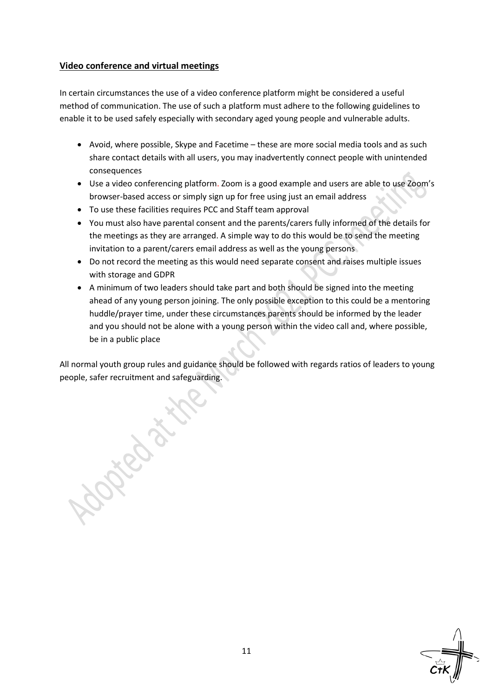## **Video conference and virtual meetings**

In certain circumstances the use of a video conference platform might be considered a useful method of communication. The use of such a platform must adhere to the following guidelines to enable it to be used safely especially with secondary aged young people and vulnerable adults.

- Avoid, where possible, Skype and Facetime these are more social media tools and as such share contact details with all users, you may inadvertently connect people with unintended consequences
- Use a video conferencing platform. Zoom is a good example and users are able to use Zoom's browser-based access or simply sign up for free using just an email address
- To use these facilities requires PCC and Staff team approval
- You must also have parental consent and the parents/carers fully informed of the details for the meetings as they are arranged. A simple way to do this would be to send the meeting invitation to a parent/carers email address as well as the young persons
- Do not record the meeting as this would need separate consent and raises multiple issues with storage and GDPR
- A minimum of two leaders should take part and both should be signed into the meeting ahead of any young person joining. The only possible exception to this could be a mentoring huddle/prayer time, under these circumstances parents should be informed by the leader and you should not be alone with a young person within the video call and, where possible, be in a public place

All normal youth group rules and guidance should be followed with regards ratios of leaders to young people, safer recruitment and safeguarding.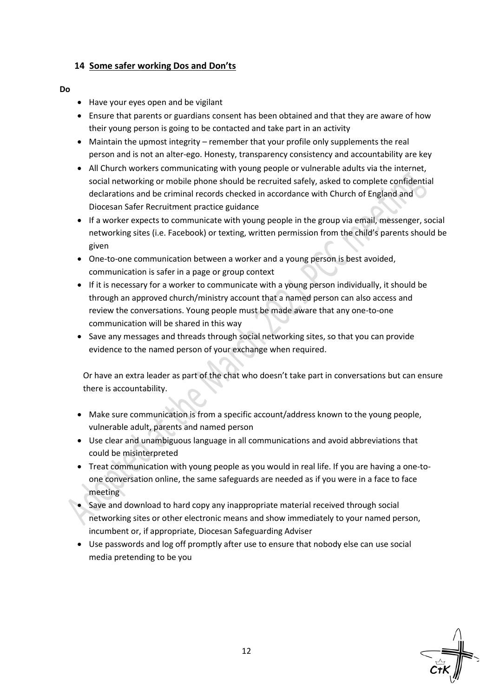## **14 Some safer working Dos and Don'ts**

#### **Do**

- Have your eyes open and be vigilant
- Ensure that parents or guardians consent has been obtained and that they are aware of how their young person is going to be contacted and take part in an activity
- Maintain the upmost integrity remember that your profile only supplements the real person and is not an alter-ego. Honesty, transparency consistency and accountability are key
- All Church workers communicating with young people or vulnerable adults via the internet, social networking or mobile phone should be recruited safely, asked to complete confidential declarations and be criminal records checked in accordance with Church of England and Diocesan Safer Recruitment practice guidance
- If a worker expects to communicate with young people in the group via email, messenger, social networking sites (i.e. Facebook) or texting, written permission from the child's parents should be given
- One-to-one communication between a worker and a young person is best avoided, communication is safer in a page or group context
- If it is necessary for a worker to communicate with a young person individually, it should be through an approved church/ministry account that a named person can also access and review the conversations. Young people must be made aware that any one-to-one communication will be shared in this way
- Save any messages and threads through social networking sites, so that you can provide evidence to the named person of your exchange when required.

Or have an extra leader as part of the chat who doesn't take part in conversations but can ensure there is accountability.

- Make sure communication is from a specific account/address known to the young people, vulnerable adult, parents and named person
- Use clear and unambiguous language in all communications and avoid abbreviations that could be misinterpreted
- Treat communication with young people as you would in real life. If you are having a one-toone conversation online, the same safeguards are needed as if you were in a face to face meeting
- Save and download to hard copy any inappropriate material received through social networking sites or other electronic means and show immediately to your named person, incumbent or, if appropriate, Diocesan Safeguarding Adviser
- Use passwords and log off promptly after use to ensure that nobody else can use social media pretending to be you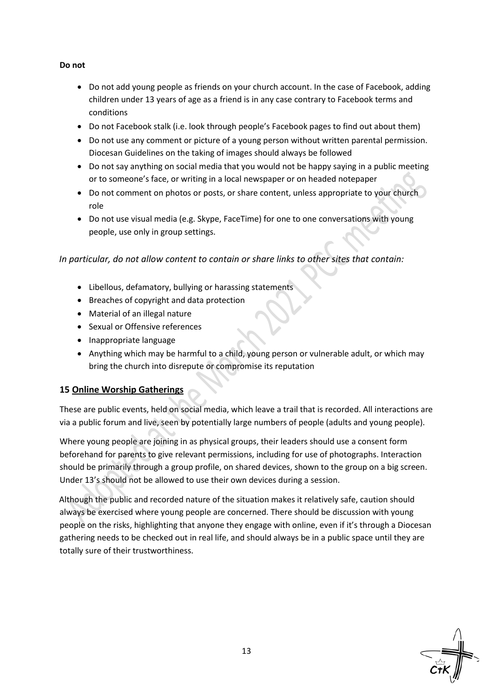## **Do not**

- Do not add young people as friends on your church account. In the case of Facebook, adding children under 13 years of age as a friend is in any case contrary to Facebook terms and conditions
- Do not Facebook stalk (i.e. look through people's Facebook pages to find out about them)
- Do not use any comment or picture of a young person without written parental permission. Diocesan Guidelines on the taking of images should always be followed
- Do not say anything on social media that you would not be happy saying in a public meeting or to someone's face, or writing in a local newspaper or on headed notepaper
- Do not comment on photos or posts, or share content, unless appropriate to your church role
- Do not use visual media (e.g. Skype, FaceTime) for one to one conversations with young people, use only in group settings.

*In particular, do not allow content to contain or share links to other sites that contain:* 

- Libellous, defamatory, bullying or harassing statements
- Breaches of copyright and data protection
- Material of an illegal nature
- Sexual or Offensive references
- Inappropriate language
- Anything which may be harmful to a child, young person or vulnerable adult, or which may bring the church into disrepute or compromise its reputation

# **15 Online Worship Gatherings**

These are public events, held on social media, which leave a trail that is recorded. All interactions are via a public forum and live, seen by potentially large numbers of people (adults and young people).

Where young people are joining in as physical groups, their leaders should use a consent form beforehand for parents to give relevant permissions, including for use of photographs. Interaction should be primarily through a group profile, on shared devices, shown to the group on a big screen. Under 13's should not be allowed to use their own devices during a session.

Although the public and recorded nature of the situation makes it relatively safe, caution should always be exercised where young people are concerned. There should be discussion with young people on the risks, highlighting that anyone they engage with online, even if it's through a Diocesan gathering needs to be checked out in real life, and should always be in a public space until they are totally sure of their trustworthiness.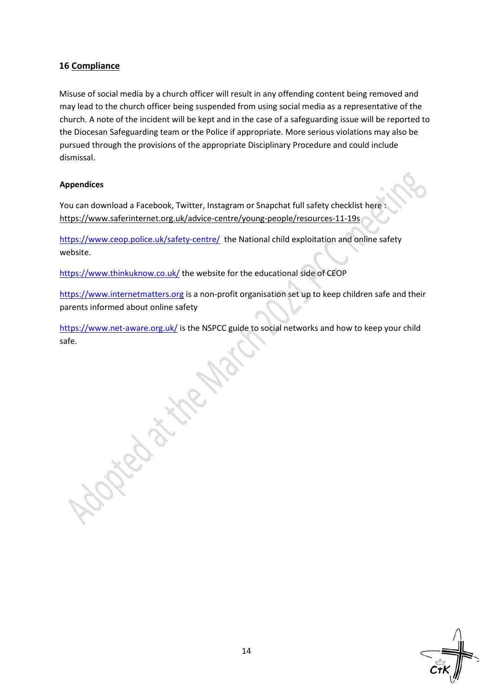# **16 Compliance**

Misuse of social media by a church officer will result in any offending content being removed and may lead to the church officer being suspended from using social media as a representative of the church. A note of the incident will be kept and in the case of a safeguarding issue will be reported to the Diocesan Safeguarding team or the Police if appropriate. More serious violations may also be pursued through the provisions of the appropriate Disciplinary Procedure and could include dismissal.

## **Appendices**

You can download a Facebook, Twitter, Instagram or Snapchat full safety checklist here : <https://www.saferinternet.org.uk/advice-centre/young-people/resources-11-19s>

<https://www.ceop.police.uk/safety-centre/> the National child exploitation and online safety website.

<https://www.thinkuknow.co.uk/> the website for the educational side of CEOP

Leo attre

[https://www.internetmatters.org](https://www.internetmatters.org/) is a non-profit organisation set up to keep children safe and their parents informed about online safety

<https://www.net-aware.org.uk/> is the NSPCC guide to social networks and how to keep your child safe.